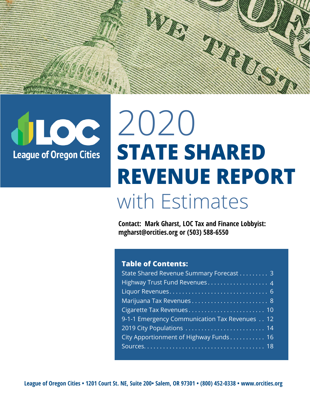



# 2020 **STATE SHARED REVENUE REPORT** with Estimates

**Contact: Mark Gharst, LOC Tax and Finance Lobbyist: mgharst@orcities.org or (503) 588-6550**

#### **Table of Contents:**

| State Shared Revenue Summary Forecast 3       |
|-----------------------------------------------|
|                                               |
|                                               |
|                                               |
|                                               |
| 9-1-1 Emergency Communication Tax Revenues 12 |
|                                               |
| City Apportionment of Highway Funds 16        |
|                                               |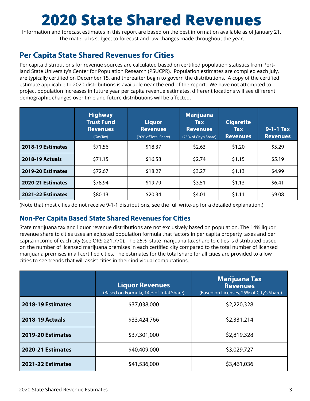# **2020 State Shared Revenues**

Information and forecast estimates in this report are based on the best information available as of January 21. The material is subject to forecast and law changes made throughout the year.

### **Per Capita State Shared Revenues for Cities**

Per capita distributions for revenue sources are calculated based on certified population statistics from Portland State University's Center for Population Research (PSUCPR). Population estimates are compiled each July, are typically certified on December 15, and thereafter begin to govern the distributions. A copy of the certified estimate applicable to 2020 distributions is available near the end of the report. We have not attempted to project population increases in future year per capita revenue estimates, different locations will see different demographic changes over time and future distributions will be affected.

|                        | <b>Highway</b><br><b>Trust Fund</b><br><b>Revenues</b><br>(Gas Tax) | <b>Liquor</b><br><b>Revenues</b><br>(20% of Total Share) | <b>Marijuana</b><br><b>Tax</b><br><b>Revenues</b><br>(75% of City's Share) | <b>Cigarette</b><br><b>Tax</b><br><b>Revenues</b> | $9-1-1$ Tax<br><b>Revenues</b> |
|------------------------|---------------------------------------------------------------------|----------------------------------------------------------|----------------------------------------------------------------------------|---------------------------------------------------|--------------------------------|
| 2018-19 Estimates      | \$71.56                                                             | \$18.37                                                  | \$2.63                                                                     | \$1.20                                            | \$5.29                         |
| <b>2018-19 Actuals</b> | \$71.15                                                             | \$16.58                                                  | \$2.74                                                                     | \$1.15                                            | \$5.19                         |
| 2019-20 Estimates      | \$72.67                                                             | \$18.27                                                  | \$3.27                                                                     | \$1.13                                            | \$4.99                         |
| 2020-21 Estimates      | \$78.94                                                             | \$19.79                                                  | \$3.51                                                                     | \$1.13                                            | \$6.41                         |
| 2021-22 Estimates      | \$80.13                                                             | \$20.34                                                  | \$4.01                                                                     | \$1.11                                            | \$9.08                         |

(Note that most cities do not receive 9-1-1 distributions, see the full write-up for a detailed explanation.)

#### **Non-Per Capita Based State Shared Revenues for Cities**

State marijuana tax and liquor revenue distributions are not exclusively based on population. The 14% liquor revenue share to cities uses an adjusted population formula that factors in per capita property taxes and per capita income of each city (see ORS 221.770). The 25% state marijuana tax share to cities is distributed based on the number of licensed marijuana premises in each certified city compared to the total number of licensed marijuana premises in all certified cities. The estimates for the total share for all cities are provided to allow cities to see trends that will assist cities in their individual computations.

|                        | <b>Liquor Revenues</b><br>(Based on Formula, 14% of Total Share) | <b>Marijuana Tax</b><br><b>Revenues</b><br>(Based on Licenses, 25% of City's Share) |
|------------------------|------------------------------------------------------------------|-------------------------------------------------------------------------------------|
| 2018-19 Estimates      | \$37,038,000                                                     | \$2,220,328                                                                         |
| <b>2018-19 Actuals</b> | \$2,331,214<br>\$33,424,766                                      |                                                                                     |
| 2019-20 Estimates      | \$2,819,328<br>\$37,301,000                                      |                                                                                     |
| 2020-21 Estimates      | \$3,029,727<br>\$40,409,000                                      |                                                                                     |
| 2021-22 Estimates      | \$41,536,000                                                     | \$3,461,036                                                                         |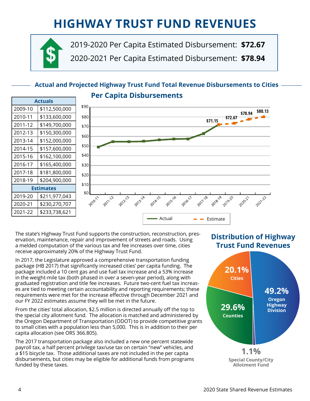# **HIGHWAY TRUST FUND REVENUES**



2019-2020 Per Capita Estimated Disbursement: **\$72.67** 2020-2021 Per Capita Estimated Disbursement: **\$78.94**

### **Actual and Projected Highway Trust Fund Total Revenue Disbursements to Cities Per Capita Disbursements**

| <b>Actuals</b>   |               |  |
|------------------|---------------|--|
| 2009-10          | \$112,500,000 |  |
| 2010-11          | \$133,600,000 |  |
| 2011-12          | \$149,700,000 |  |
| 2012-13          | \$150,300,000 |  |
| 2013-14          | \$152,000,000 |  |
| 2014-15          | \$157,600,000 |  |
| 2015-16          | \$162,100,000 |  |
| 2016-17          | \$165,400,000 |  |
| 2017-18          | \$181,800,000 |  |
| 2018-19          | \$204,900,000 |  |
| <b>Estimates</b> |               |  |
| 2019-20          | \$211,977,043 |  |
| 2020-21          | \$230,270,707 |  |
| 2021-22          | \$233,738,621 |  |



The state's Highway Trust Fund supports the construction, reconstruction, preservation, maintenance, repair and improvement of streets and roads. Using a melded computation of the various tax and fee increases over time, cities receive approximately 20% of the Highway Trust Fund.

In 2017, the Legislature approved a comprehensive transportation funding package (HB 2017) that significantly increased cities' per capita funding. The package included a 10 cent gas and use fuel tax increase and a 53% increase in the weight-mile tax (both phased in over a seven-year period), along with graduated registration and title fee increases. Future two-cent fuel tax increases are tied to meeting certain accountability and reporting requirements; these requirements were met for the increase effective through December 2021 and our FY 2022 estimates assume they will be met in the future.

From the cities' total allocation, \$2.5 million is directed annually off the top to the special city allotment fund. The allocation is matched and administered by the Oregon Department of Transportation (ODOT) to provide competitive grants to small cities with a population less than 5,000. This is in addition to their per capita allocation (see ORS 366.805).

The 2017 transportation package also included a new one percent statewide payroll tax, a half percent privilege tax/use tax on certain "new" vehicles, and a \$15 bicycle tax. Those additional taxes are not included in the per capita disbursements, but cities may be eligible for additional funds from programs funded by these taxes.

### **Distribution of Highway Trust Fund Revenues**

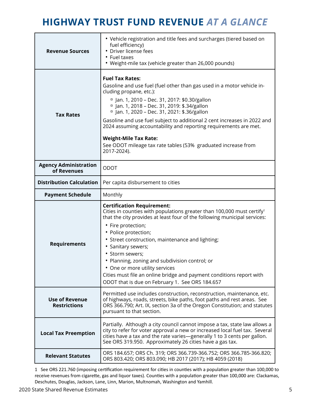### **HIGHWAY TRUST FUND REVENUE** *AT A GLANCE*

| <b>Revenue Sources</b>                                                                                                                                                                                                                                                                                                                                                                                                                                                                                                                                                                 | • Vehicle registration and title fees and surcharges (tiered based on<br>fuel efficiency)<br>• Driver license fees<br>• Fuel taxes<br>• Weight-mile tax (vehicle greater than 26,000 pounds)                                                                                                                                                                                                                                                                                                                                                                   |  |
|----------------------------------------------------------------------------------------------------------------------------------------------------------------------------------------------------------------------------------------------------------------------------------------------------------------------------------------------------------------------------------------------------------------------------------------------------------------------------------------------------------------------------------------------------------------------------------------|----------------------------------------------------------------------------------------------------------------------------------------------------------------------------------------------------------------------------------------------------------------------------------------------------------------------------------------------------------------------------------------------------------------------------------------------------------------------------------------------------------------------------------------------------------------|--|
| <b>Fuel Tax Rates:</b><br>Gasoline and use fuel (fuel other than gas used in a motor vehicle in-<br>cluding propane, etc.):<br>□ Jan. 1, 2010 - Dec. 31, 2017: \$0.30/gallon<br><sup>n</sup> Jan. 1, 2018 - Dec. 31, 2019: \$.34/gallon<br><sup>D</sup> Jan. 1, 2020 - Dec. 31, 2021: \$.36/gallon<br><b>Tax Rates</b><br>Gasoline and use fuel subject to additional 2 cent increases in 2022 and<br>2024 assuming accountability and reporting requirements are met.<br><b>Weight-Mile Tax Rate:</b><br>See ODOT mileage tax rate tables (53% graduated increase from<br>2017-2024). |                                                                                                                                                                                                                                                                                                                                                                                                                                                                                                                                                                |  |
| <b>Agency Administration</b><br>of Revenues                                                                                                                                                                                                                                                                                                                                                                                                                                                                                                                                            | <b>ODOT</b>                                                                                                                                                                                                                                                                                                                                                                                                                                                                                                                                                    |  |
| <b>Distribution Calculation</b>                                                                                                                                                                                                                                                                                                                                                                                                                                                                                                                                                        | Per capita disbursement to cities                                                                                                                                                                                                                                                                                                                                                                                                                                                                                                                              |  |
| <b>Payment Schedule</b>                                                                                                                                                                                                                                                                                                                                                                                                                                                                                                                                                                | Monthly                                                                                                                                                                                                                                                                                                                                                                                                                                                                                                                                                        |  |
| <b>Requirements</b>                                                                                                                                                                                                                                                                                                                                                                                                                                                                                                                                                                    | <b>Certification Requirement:</b><br>Cities in counties with populations greater than 100,000 must certify <sup>1</sup><br>that the city provides at least four of the following municipal services:<br>• Fire protection;<br>• Police protection;<br>• Street construction, maintenance and lighting;<br>· Sanitary sewers;<br>• Storm sewers;<br>• Planning, zoning and subdivision control; or<br>• One or more utility services<br>Cities must file an online bridge and payment conditions report with<br>ODOT that is due on February 1. See ORS 184.657 |  |
| <b>Use of Revenue</b><br><b>Restrictions</b>                                                                                                                                                                                                                                                                                                                                                                                                                                                                                                                                           | Permitted use includes construction, reconstruction, maintenance, etc.<br>of highways, roads, streets, bike paths, foot paths and rest areas. See<br>ORS 366.790; Art. IX, section 3a of the Oregon Constitution; and statutes<br>pursuant to that section.                                                                                                                                                                                                                                                                                                    |  |
| Partially. Although a city council cannot impose a tax, state law allows a<br>city to refer for voter approval a new or increased local fuel tax. Several<br><b>Local Tax Preemption</b><br>cities have a tax and the rate varies-generally 1 to 3 cents per gallon.<br>See ORS 319.950. Approximately 26 cities have a gas tax.                                                                                                                                                                                                                                                       |                                                                                                                                                                                                                                                                                                                                                                                                                                                                                                                                                                |  |
| <b>Relevant Statutes</b>                                                                                                                                                                                                                                                                                                                                                                                                                                                                                                                                                               | ORS 184.657; ORS Ch. 319; ORS 366.739-366.752; ORS 366.785-366.820;<br>ORS 803.420; ORS 803.090; HB 2017 (2017); HB 4059 (2018)                                                                                                                                                                                                                                                                                                                                                                                                                                |  |

1 See ORS 221.760 (imposing certification requirement for cities in counties with a population greater than 100,000 to receive revenues from cigarette, gas and liquor taxes). Counties with a population greater than 100,000 are: Clackamas, Deschutes, Douglas, Jackson, Lane, Linn, Marion, Multnomah, Washington and Yamhill.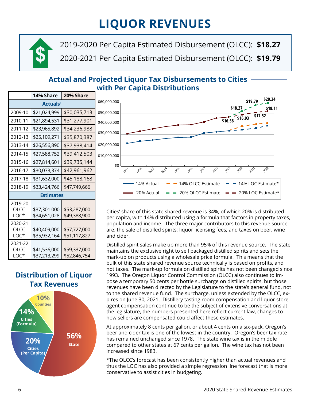# **LIQUOR REVENUES**



2019-2020 Per Capita Estimated Disbursement (OLCC): **\$18.27 \$** 2020-2021 Per Capita Estimated Disbursement (OLCC): **\$19.79** 

### **Actual and Projected Liquor Tax Disbursements to Cities with Per Capita Distributions**

|                           | 14% Share                    | 20% Share                    |  |  |
|---------------------------|------------------------------|------------------------------|--|--|
| Actuals <sup>1</sup>      |                              |                              |  |  |
| 2009-10                   | \$21,024,999                 | \$30,035,713                 |  |  |
| 2010-11                   | \$21,894,531                 | \$31,277,901                 |  |  |
| 2011-12                   | \$23,965,892                 | \$34,236,988                 |  |  |
| 2012-13                   | \$25,109,271                 | \$35,870,387                 |  |  |
| 2013-14                   | \$26,556,890                 | \$37,938,414                 |  |  |
| 2014-15                   | \$27,588,752                 | \$39,412,503                 |  |  |
| 2015-16                   | \$27,814,601                 | \$39,735,144                 |  |  |
| 2016-17                   | \$30,073,374                 | \$42,961,962                 |  |  |
| 2017-18                   | \$31,632,000                 | \$45,188,168                 |  |  |
| 2018-19                   | \$33,424,766                 | \$47,749,666                 |  |  |
|                           | <b>Estimates</b>             |                              |  |  |
| 2019-20<br>OLCC<br>LOC*   | \$37,301.000<br>\$34,651,028 | \$53,287,000<br>\$49,388,900 |  |  |
| 2020-21<br>OLCC<br>$10C*$ | \$40,409,000<br>\$35,932,164 | \$57,727,000<br>\$51,117,827 |  |  |
| 2021-22<br>OLCC<br>LOC*   | \$41,536.000<br>\$37,213,299 | \$59,337,000<br>\$52,846,754 |  |  |

### **Distribution of Liquor Tax Revenues**





Cities' share of this state shared revenue is 34%, of which 20% is distributed per capita, with 14% distributed using a formula that factors in property taxes, population and income. The three major contributors to this revenue source are: the sale of distilled spirits; liquor licensing fees; and taxes on beer, wine and cider.

Distilled spirit sales make up more than 95% of this revenue source. The state maintains the exclusive right to sell packaged distilled spirits and sets the mark-up on products using a wholesale price formula. This means that the bulk of this state shared revenue source technically is based on profits, and not taxes. The mark-up formula on distilled spirits has not been changed since 1993. The Oregon Liquor Control Commission (OLCC) also continues to impose a temporary 50 cents per bottle surcharge on distilled spirits, but those revenues have been directed by the Legislature to the state's general fund, not to the shared revenue fund. The surcharge, unless extended by the OLCC, expires on June 30, 2021. Distillery tasting room compensation and liquor store agent compensation continue to be the subject of extensive conversations at the legislature, the numbers presented here reflect current law, changes to how sellers are compensated could affect these estimates.

At approximately 8 cents per gallon, or about 4 cents on a six-pack, Oregon's beer and cider tax is one of the lowest in the country. Oregon's beer tax rate has remained unchanged since 1978. The state wine tax is in the middle compared to other states at 67 cents per gallon. The wine tax has not been increased since 1983.

\*The OLCC's forecast has been consistently higher than actual revenues and thus the LOC has also provided a simple regression line forecast that is more conservative to assist cities in budgeting.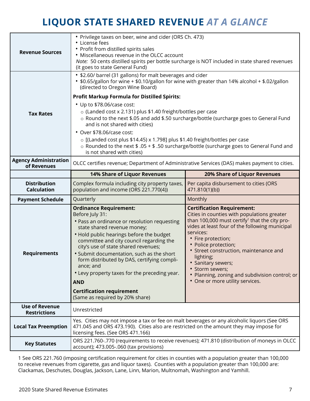### **LIQUOR STATE SHARED REVENUE** *AT A GLANCE*

| <b>Revenue Sources</b>                       | • Privilege taxes on beer, wine and cider (ORS Ch. 473)<br>• License fees<br>• Profit from distilled spirits sales<br>• Miscellaneous revenue in the OLCC account<br>Note: 50 cents distilled spirits per bottle surcharge is NOT included in state shared revenues<br>(it goes to state General Fund)                                                                                                                                                                                                                                                                                                                                                                                                                                            |                                                                                                                                                                                                              |  |  |
|----------------------------------------------|---------------------------------------------------------------------------------------------------------------------------------------------------------------------------------------------------------------------------------------------------------------------------------------------------------------------------------------------------------------------------------------------------------------------------------------------------------------------------------------------------------------------------------------------------------------------------------------------------------------------------------------------------------------------------------------------------------------------------------------------------|--------------------------------------------------------------------------------------------------------------------------------------------------------------------------------------------------------------|--|--|
|                                              | • \$2.60/ barrel (31 gallons) for malt beverages and cider<br>• \$0.65/gallon for wine + \$0.10/gallon for wine with greater than 14% alcohol + \$.02/gallon<br>(directed to Oregon Wine Board)                                                                                                                                                                                                                                                                                                                                                                                                                                                                                                                                                   |                                                                                                                                                                                                              |  |  |
|                                              | <b>Profit Markup Formula for Distilled Spirits:</b>                                                                                                                                                                                                                                                                                                                                                                                                                                                                                                                                                                                                                                                                                               |                                                                                                                                                                                                              |  |  |
|                                              | • Up to \$78.06/case cost:                                                                                                                                                                                                                                                                                                                                                                                                                                                                                                                                                                                                                                                                                                                        |                                                                                                                                                                                                              |  |  |
| <b>Tax Rates</b>                             | o (Landed cost x 2.131) plus \$1.40 freight/bottles per case<br>o Round to the next \$.05 and add \$.50 surcharge/bottle (surcharge goes to General Fund<br>and is not shared with cities)                                                                                                                                                                                                                                                                                                                                                                                                                                                                                                                                                        |                                                                                                                                                                                                              |  |  |
|                                              | • Over \$78.06/case cost:                                                                                                                                                                                                                                                                                                                                                                                                                                                                                                                                                                                                                                                                                                                         |                                                                                                                                                                                                              |  |  |
|                                              | o [(Landed cost plus \$14.45) x 1.798] plus \$1.40 freight/bottles per case<br>o Rounded to the next $$.05 + $.50$ surcharge/bottle (surcharge goes to General Fund and<br>is not shared with cities)                                                                                                                                                                                                                                                                                                                                                                                                                                                                                                                                             |                                                                                                                                                                                                              |  |  |
| <b>Agency Administration</b><br>of Revenues  | OLCC certifies revenue; Department of Administrative Services (DAS) makes payment to cities.                                                                                                                                                                                                                                                                                                                                                                                                                                                                                                                                                                                                                                                      |                                                                                                                                                                                                              |  |  |
|                                              | <b>14% Share of Liquor Revenues</b>                                                                                                                                                                                                                                                                                                                                                                                                                                                                                                                                                                                                                                                                                                               | <b>20% Share of Liquor Revenues</b>                                                                                                                                                                          |  |  |
| <b>Distribution</b><br><b>Calculation</b>    | Complex formula including city property taxes,<br>population and income (ORS 221.770(4))                                                                                                                                                                                                                                                                                                                                                                                                                                                                                                                                                                                                                                                          | Per capita disbursement to cities (ORS<br>471.810(1)(b))                                                                                                                                                     |  |  |
| <b>Payment Schedule</b>                      | Quarterly                                                                                                                                                                                                                                                                                                                                                                                                                                                                                                                                                                                                                                                                                                                                         | Monthly                                                                                                                                                                                                      |  |  |
|                                              | <b>Ordinance Requirement:</b><br><b>Certification Requirement:</b><br>Before July 31:<br>• Pass an ordinance or resolution requesting<br>state shared revenue money;<br>services:<br>• Hold public hearings before the budget<br>• Fire protection;<br>committee and city council regarding the<br>• Police protection;<br>city's use of state shared revenues;<br>• Street construction, maintenance and<br>• Submit documentation, such as the short<br>lighting;<br>form distributed by DAS, certifying compli-<br>• Sanitary sewers;<br>ance; and<br>· Storm sewers;<br>• Levy property taxes for the preceding year.<br>• One or more utility services.<br><b>AND</b><br><b>Certification requirement</b><br>(Same as required by 20% share) |                                                                                                                                                                                                              |  |  |
| <b>Requirements</b>                          |                                                                                                                                                                                                                                                                                                                                                                                                                                                                                                                                                                                                                                                                                                                                                   | Cities in counties with populations greater<br>than 100,000 must certify <sup>1</sup> that the city pro-<br>vides at least four of the following municipal<br>• Planning, zoning and subdivision control; or |  |  |
| <b>Use of Revenue</b><br><b>Restrictions</b> | Unrestricted                                                                                                                                                                                                                                                                                                                                                                                                                                                                                                                                                                                                                                                                                                                                      |                                                                                                                                                                                                              |  |  |
| <b>Local Tax Preemption</b>                  | Yes. Cities may not impose a tax or fee on malt beverages or any alcoholic liquors (See ORS<br>471.045 and ORS 473.190). Cities also are restricted on the amount they may impose for<br>licensing fees. (See ORS 471.166)                                                                                                                                                                                                                                                                                                                                                                                                                                                                                                                        |                                                                                                                                                                                                              |  |  |

1 See ORS 221.760 (imposing certification requirement for cities in counties with a population greater than 100,000 to receive revenues from cigarette, gas and liquor taxes). Counties with a population greater than 100,000 are: Clackamas, Deschutes, Douglas, Jackson, Lane, Linn, Marion, Multnomah, Washington and Yamhill.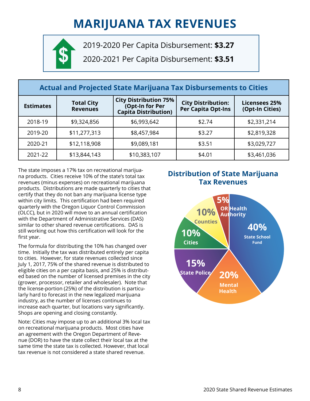# **MARIJUANA TAX REVENUES**



2019-2020 Per Capita Disbursement: **\$3.27**

2020-2021 Per Capita Disbursement: **\$3.51**

| <b>Actual and Projected State Marijuana Tax Disbursements to Cities</b> |                                      |                                                                                |                                                 |                                         |
|-------------------------------------------------------------------------|--------------------------------------|--------------------------------------------------------------------------------|-------------------------------------------------|-----------------------------------------|
| <b>Estimates</b>                                                        | <b>Total City</b><br><b>Revenues</b> | <b>City Distribution 75%</b><br>(Opt-In for Per<br><b>Capita Distribution)</b> | <b>City Distribution:</b><br>Per Capita Opt-Ins | <b>Licensees 25%</b><br>(Opt-In Cities) |
| 2018-19                                                                 | \$9,324,856                          | \$6,993,642                                                                    | \$2.74                                          | \$2,331,214                             |
| 2019-20                                                                 | \$11,277,313                         | \$8,457,984                                                                    | \$3.27                                          | \$2,819,328                             |
| 2020-21                                                                 | \$12,118,908                         | \$9,089,181                                                                    | \$3.51                                          | \$3,029,727                             |
| 2021-22                                                                 | \$13,844,143                         | \$10,383,107                                                                   | \$4.01                                          | \$3,461,036                             |

The state imposes a 17% tax on recreational marijuana products. Cities receive 10% of the state's total tax revenues (minus expenses) on recreational marijuana products. Distributions are made quarterly to cities that certify that they do not ban any marijuana license type within city limits. This certification had been required quarterly with the Oregon Liquor Control Commission (OLCC), but in 2020 will move to an annual certification with the Department of Administrative Services (DAS) similar to other shared revenue certifications. DAS is still working out how this certification will look for the first year.

The formula for distributing the 10% has changed over time. Initially the tax was distributed entirely per capita to cities. However, for state revenues collected since July 1, 2017, 75% of the shared revenue is distributed to eligible cities on a per capita basis, and 25% is distributed based on the number of licensed premises in the city (grower, processor, retailer and wholesaler). Note that the license-portion (25%) of the distribution is particularly hard to forecast in the new legalized marijuana industry, as the number of licenses continues to increase each quarter, but locations vary significantly. Shops are opening and closing constantly.

Note: Cities may impose up to an additional 3% local tax on recreational marijuana products. Most cities have an agreement with the Oregon Department of Revenue (DOR) to have the state collect their local tax at the same time the state tax is collected. However, that local tax revenue is not considered a state shared revenue.

### **Distribution of State Marijuana Tax Revenues**

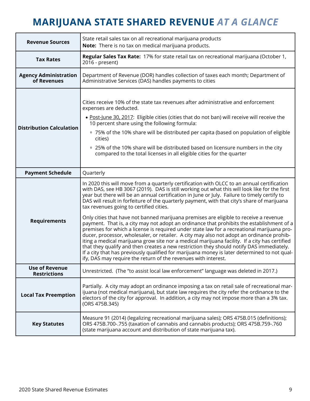### **MARIJUANA STATE SHARED REVENUE** *AT A GLANCE*

| <b>Revenue Sources</b>                       | State retail sales tax on all recreational marijuana products<br>Note: There is no tax on medical marijuana products.                                                                                                                                                                                                                                                                                                                                                                                                                                                                                                                                                                                                                                                                                                     |  |  |
|----------------------------------------------|---------------------------------------------------------------------------------------------------------------------------------------------------------------------------------------------------------------------------------------------------------------------------------------------------------------------------------------------------------------------------------------------------------------------------------------------------------------------------------------------------------------------------------------------------------------------------------------------------------------------------------------------------------------------------------------------------------------------------------------------------------------------------------------------------------------------------|--|--|
| <b>Tax Rates</b>                             | Regular Sales Tax Rate: 17% for state retail tax on recreational marijuana (October 1,<br>2016 - present)                                                                                                                                                                                                                                                                                                                                                                                                                                                                                                                                                                                                                                                                                                                 |  |  |
| <b>Agency Administration</b><br>of Revenues  | Department of Revenue (DOR) handles collection of taxes each month; Department of<br>Administrative Services (DAS) handles payments to cities                                                                                                                                                                                                                                                                                                                                                                                                                                                                                                                                                                                                                                                                             |  |  |
| <b>Distribution Calculation</b>              | Cities receive 10% of the state tax revenues after administrative and enforcement<br>expenses are deducted.<br>. Post-June 30, 2017: Eligible cities (cities that do not ban) will receive will receive the<br>10 percent share using the following formula:<br>□ 75% of the 10% share will be distributed per capita (based on population of eligible<br>cities)<br><sup>o</sup> 25% of the 10% share will be distributed based on licensure numbers in the city                                                                                                                                                                                                                                                                                                                                                         |  |  |
| <b>Payment Schedule</b>                      | compared to the total licenses in all eligible cities for the quarter<br>Quarterly                                                                                                                                                                                                                                                                                                                                                                                                                                                                                                                                                                                                                                                                                                                                        |  |  |
|                                              | In 2020 this will move from a quarterly certification with OLCC to an annual certification                                                                                                                                                                                                                                                                                                                                                                                                                                                                                                                                                                                                                                                                                                                                |  |  |
| <b>Requirements</b>                          | with DAS, see HB 3067 (2019). DAS is still working out what this will look like for the first<br>year but there will be an annual certification in June or July. Failure to timely certify to<br>DAS will result in forfeiture of the quarterly payment, with that city's share of marijuana<br>tax revenues going to certified cities.<br>Only cities that have not banned marijuana premises are eligible to receive a revenue<br>payment. That is, a city may not adopt an ordinance that prohibits the establishment of a<br>premises for which a license is required under state law for a recreational marijuana pro-<br>ducer, processor, wholesaler, or retailer. A city may also not adopt an ordinance prohib-<br>iting a medical marijuana grow site nor a medical marijuana facility. If a city has certified |  |  |
|                                              | that they qualify and then creates a new restriction they should notify DAS immediately.<br>If a city that has previously qualified for marijuana money is later determined to not qual-<br>ify, DAS may require the return of the revenues with interest.                                                                                                                                                                                                                                                                                                                                                                                                                                                                                                                                                                |  |  |
| <b>Use of Revenue</b><br><b>Restrictions</b> | Unrestricted. (The "to assist local law enforcement" language was deleted in 2017.)                                                                                                                                                                                                                                                                                                                                                                                                                                                                                                                                                                                                                                                                                                                                       |  |  |
| <b>Local Tax Preemption</b>                  | Partially. A city may adopt an ordinance imposing a tax on retail sale of recreational mar-<br>ijuana (not medical marijuana), but state law requires the city refer the ordinance to the<br>electors of the city for approval. In addition, a city may not impose more than a 3% tax.<br>(ORS 475B.345)                                                                                                                                                                                                                                                                                                                                                                                                                                                                                                                  |  |  |
| <b>Key Statutes</b>                          | Measure 91 (2014) (legalizing recreational marijuana sales); ORS 475B.015 (definitions);<br>ORS 475B.700-.755 (taxation of cannabis and cannabis products); ORS 475B.759-.760<br>(state marijuana account and distribution of state marijuana tax).                                                                                                                                                                                                                                                                                                                                                                                                                                                                                                                                                                       |  |  |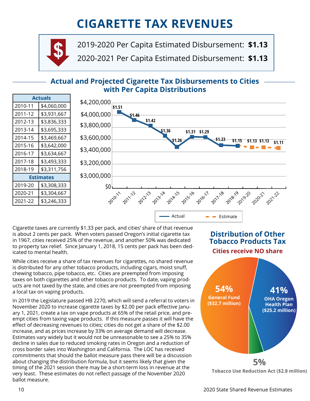# **CIGARETTE TAX REVENUES**



2019-2020 Per Capita Estimated Disbursement: **\$1.13 \$** 2020-2021 Per Capita Estimated Disbursement: **\$1.13**

### **Actual and Projected Cigarette Tax Disbursements to Cities with Per Capita Distributions**

| <b>Actuals</b> |             |  |
|----------------|-------------|--|
| 2010-11        | \$4,060,000 |  |
| 2011-12        | \$3,931,667 |  |
| 2012-13        | \$3,836,333 |  |
| 2013-14        | \$3,695,333 |  |
| 2014-15        | \$3,469,667 |  |
| 2015-16        | \$3,642,000 |  |
| 2016-17        | \$3,634,667 |  |
| 2017-18        | \$3,493,333 |  |
| 2018-19        | \$3,311,756 |  |
| Estimates      |             |  |
| 2019-20        | \$3,308,333 |  |
| 2020-21        | \$3,304,667 |  |
| 2021-22        | \$3,246,333 |  |



Cigarette taxes are currently \$1.33 per pack, and cities' share of that revenue is about 2 cents per pack. When voters passed Oregon's initial cigarette tax in 1967, cities received 25% of the revenue, and another 50% was dedicated to property tax relief. Since January 1, 2018, 15 cents per pack has been dedicated to mental health.

While cities receive a share of tax revenues for cigarettes, no shared revenue is distributed for any other tobacco products, including cigars, moist snuff, chewing tobacco, pipe tobacco, etc. Cities are preempted from imposing taxes on both cigarettes and other tobacco products. To date, vaping products are not taxed by the state, and cities are not preempted from imposing a local tax on vaping products.

In 2019 the Legislature passed HB 2270, which will send a referral to voters in November 2020 to increase cigarette taxes by \$2.00 per pack effective January 1, 2021, create a tax on vape products at 65% of the retail price, and preempt cities from taxing vape products. If this measure passes it will have the effect of decreasing revenues to cities; cities do not get a share of the \$2.00 increase, and as prices increase by 33% on average demand will decrease. Estimates vary widely but it would not be unreasonable to see a 25% to 35% decline in sales due to reduced smoking rates in Oregon and a reduction of cross border sales into Washington and California. The LOC has received commitments that should the ballot measure pass there will be a discussion about changing the distribution formula, but it seems likely that given the timing of the 2021 session there may be a short-term loss in revenue at the very least. These estimates do not reflect passage of the November 2020 ballot measure.

### **Distribution of Other Tobacco Products Tax**

**Cities receive NO share**



**Tobacco Use Reduction Act (\$2.8 million)**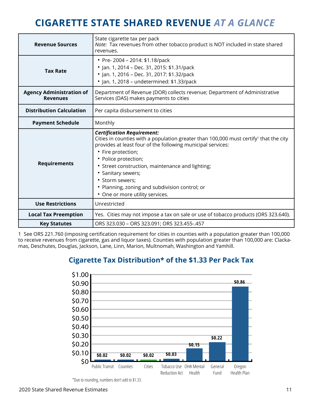### **CIGARETTE STATE SHARED REVENUE** *AT A GLANCE*

| <b>Revenue Sources</b>                             | State cigarette tax per pack<br>Note: Tax revenues from other tobacco product is NOT included in state shared<br>revenues.                                                                                                                                                                                                                                                                                                            |  |
|----------------------------------------------------|---------------------------------------------------------------------------------------------------------------------------------------------------------------------------------------------------------------------------------------------------------------------------------------------------------------------------------------------------------------------------------------------------------------------------------------|--|
| <b>Tax Rate</b>                                    | • Pre-2004 - 2014: \$1.18/pack<br>• Jan. 1, 2014 - Dec. 31, 2015: \$1.31/pack<br>• Jan. 1, 2016 - Dec. 31, 2017: \$1.32/pack<br>• Jan. 1, 2018 - undetermined: \$1.33/pack                                                                                                                                                                                                                                                            |  |
| <b>Agency Administration of</b><br><b>Revenues</b> | Department of Revenue (DOR) collects revenue; Department of Administrative<br>Services (DAS) makes payments to cities                                                                                                                                                                                                                                                                                                                 |  |
| <b>Distribution Calculation</b>                    | Per capita disbursement to cities                                                                                                                                                                                                                                                                                                                                                                                                     |  |
| <b>Payment Schedule</b>                            | Monthly                                                                                                                                                                                                                                                                                                                                                                                                                               |  |
|                                                    |                                                                                                                                                                                                                                                                                                                                                                                                                                       |  |
| <b>Requirements</b>                                | <b>Certification Requirement:</b><br>Cities in counties with a population greater than 100,000 must certify <sup>1</sup> that the city<br>provides at least four of the following municipal services:<br>• Fire protection;<br>• Police protection;<br>• Street construction, maintenance and lighting;<br>• Sanitary sewers;<br>· Storm sewers;<br>• Planning, zoning and subdivision control; or<br>• One or more utility services. |  |
| <b>Use Restrictions</b>                            | Unrestricted                                                                                                                                                                                                                                                                                                                                                                                                                          |  |
| <b>Local Tax Preemption</b>                        | Yes. Cities may not impose a tax on sale or use of tobacco products (ORS 323.640).                                                                                                                                                                                                                                                                                                                                                    |  |

1 See ORS 221.760 (imposing certification requirement for cities in counties with a population greater than 100,000 to receive revenues from cigarette, gas and liquor taxes). Counties with population greater than 100,000 are: Clackamas, Deschutes, Douglas, Jackson, Lane, Linn, Marion, Multnomah, Washington and Yamhill.



### **Cigarette Tax Distribution\* of the \$1.33 Per Pack Tax**

<sup>\*</sup>Due to rounding, numbers don't add to \$1.33.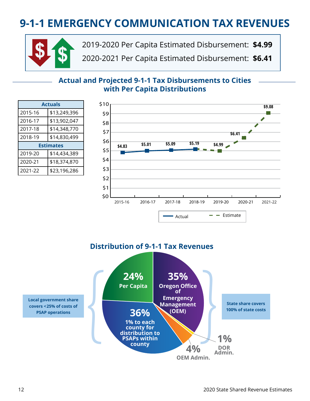# **9-1-1 EMERGENCY COMMUNICATION TAX REVENUES**



2019-2020 Per Capita Estimated Disbursement: **\$4.99 \$** 2020-2021 Per Capita Estimated Disbursement: **\$6.41**

#### **Actual and Projected 9-1-1 Tax Disbursements to Cities with Per Capita Distributions**

| <b>Actuals</b>   |              |  |
|------------------|--------------|--|
| 2015-16          | \$13,249,396 |  |
| 2016-17          | \$13,902,047 |  |
| 2017-18          | \$14,348,770 |  |
| 2018-19          | \$14,830,499 |  |
| <b>Estimates</b> |              |  |
| 2019-20          | \$14,434,389 |  |
| 2020-21          | \$18,374,870 |  |
| 2021-22          | \$23,196,286 |  |



#### **Distribution of 9-1-1 Tax Revenues**

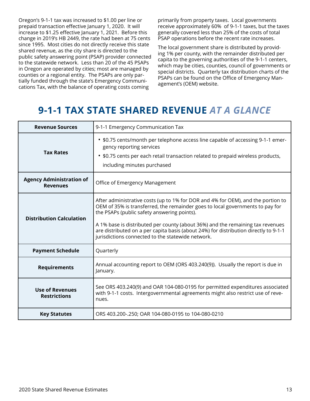Oregon's 9-1-1 tax was increased to \$1.00 per line or prepaid transaction effective January 1, 2020. It will increase to \$1.25 effective January 1, 2021. Before this change in 2019's HB 2449, the rate had been at 75 cents since 1995. Most cities do not directly receive this state shared revenue, as the city share is directed to the public safety answering point (PSAP) provider connected to the statewide network. Less than 20 of the 45 PSAPs in Oregon are operated by cities; most are managed by counties or a regional entity. The PSAPs are only partially funded through the state's Emergency Communications Tax, with the balance of operating costs coming

primarily from property taxes. Local governments receive approximately 60% of 9-1-1 taxes, but the taxes generally covered less than 25% of the costs of total PSAP operations before the recent rate increases.

The local government share is distributed by providing 1% per county, with the remainder distributed per capita to the governing authorities of the 9-1-1 centers, which may be cities, counties, council of governments or special districts. Quarterly tax distribution charts of the PSAPs can be found on the Office of Emergency Management's (OEM) website.

### **9-1-1 TAX STATE SHARED REVENUE** *AT A GLANCE*

| <b>Revenue Sources</b>                             | 9-1-1 Emergency Communication Tax                                                                                                                                                                                                                                                                                                                                                                                                               |  |  |  |  |
|----------------------------------------------------|-------------------------------------------------------------------------------------------------------------------------------------------------------------------------------------------------------------------------------------------------------------------------------------------------------------------------------------------------------------------------------------------------------------------------------------------------|--|--|--|--|
| <b>Tax Rates</b>                                   | • \$0.75 cents/month per telephone access line capable of accessing 9-1-1 emer-<br>gency reporting services<br>• \$0.75 cents per each retail transaction related to prepaid wireless products,<br>including minutes purchased                                                                                                                                                                                                                  |  |  |  |  |
| <b>Agency Administration of</b><br><b>Revenues</b> | Office of Emergency Management                                                                                                                                                                                                                                                                                                                                                                                                                  |  |  |  |  |
| <b>Distribution Calculation</b>                    | After administrative costs (up to 1% for DOR and 4% for OEM), and the portion to<br>OEM of 35% is transferred, the remainder goes to local governments to pay for<br>the PSAPs (public safety answering points).<br>A 1% base is distributed per county (about 36%) and the remaining tax revenues<br>are distributed on a per capita basis (about 24%) for distribution directly to 9-1-1<br>jurisdictions connected to the statewide network. |  |  |  |  |
| <b>Payment Schedule</b>                            | Quarterly                                                                                                                                                                                                                                                                                                                                                                                                                                       |  |  |  |  |
| <b>Requirements</b>                                | Annual accounting report to OEM (ORS 403.240(9)). Usually the report is due in<br>January.                                                                                                                                                                                                                                                                                                                                                      |  |  |  |  |
| <b>Use of Revenues</b><br><b>Restrictions</b>      | See ORS 403.240(9) and OAR 104-080-0195 for permitted expenditures associated<br>with 9-1-1 costs. Intergovernmental agreements might also restrict use of reve-<br>nues.                                                                                                                                                                                                                                                                       |  |  |  |  |
| <b>Key Statutes</b>                                | ORS 403.200-.250; OAR 104-080-0195 to 104-080-0210                                                                                                                                                                                                                                                                                                                                                                                              |  |  |  |  |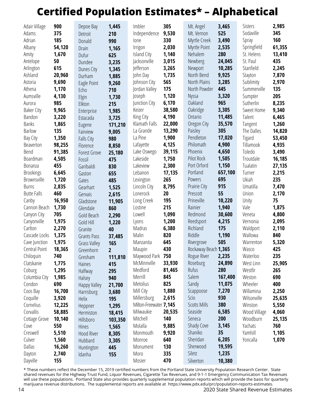# **Certified Population Estimates\* – Alphabetical**

| Adair Village      | 900    | Depoe Bay           | 1,445          | Imbler                 | 305    | Mt. Angel            | 3,465   | <b>Sisters</b> | 2,985  |
|--------------------|--------|---------------------|----------------|------------------------|--------|----------------------|---------|----------------|--------|
| Adams              | 375    | Detroit             | 210            | Independence           | 9,530  | Mt. Vernon           | 525     | Sodaville      | 345    |
| Adrian             | 185    | Donald              | 990            | lone                   | 330    | Myrtle Creek         | 3,490   | Spray          | 160    |
| Albany             | 54,120 | Drain               | 1,165          | Irrigon                | 2,030  | Myrtle Point         | 2,535   | Springfield    | 61,355 |
| Amity              | 1,670  | Dufur               | 625            | Island City            | 1,140  | Nehalem              | 280     | St. Helens     | 13,410 |
| Antelope           | 50     | Dundee              | 3,235          | Jacksonville           | 3,015  | Newberg              | 24,045  | St. Paul       | 435    |
| Arlington          | 615    | Dunes City          | 1,345          | lefferson              | 3,265  | Newport              | 10,285  | Stanfield      | 2,245  |
| Ashland            | 20,960 | Durham              | 1,885          | John Day               | 1,735  | North Bend           | 9,925   | Stayton        | 7,870  |
| Astoria            | 9,690  | Eagle Point         | 9,260          | Johnson City           | 565    | North Plains         | 3,285   | Sublimity      | 2,970  |
| Athena             | 1,170  | Echo                | 710            | Jordan Valley          | 175    | North Powder         | 445     | Summerville    | 135    |
| Aumsville          | 4,130  | Elgin               | 1,730          | Joseph                 | 1,120  | <b>Nyssa</b>         | 3,320   | Sumpter        | 205    |
| Aurora             | 985    | Elkton              | 215            | Junction City          | 6,170  | Oakland              | 965     | Sutherlin      | 8,235  |
| <b>Baker City</b>  | 9,965  | Enterprise          | 1,985          | Keizer                 | 38,580 | Oakridge             | 3,305   | Sweet Home     | 9,340  |
| Bandon             | 3,220  | Estacada            | 3,725          | King City              | 4,190  | Ontario              | 11,485  | Talent         | 6,465  |
| <b>Banks</b>       | 1,865  | Eugene              | 171,210        | Klamath Falls          | 22,000 | Oregon City          | 35,570  | Tangent        | 1,260  |
| <b>Barlow</b>      | 135    | Fairview            | 9,005          | La Grande              | 13,290 | Paisley              | 305     | The Dalles     | 14,820 |
| Bay City           | 1,350  | Falls City          | 980            | La Pine                | 1,900  | Pendleton            | 17,020  | Tigard         | 53,450 |
| Beaverton          | 98,255 | Florence            | 8,850          | Lafayette              | 4,125  | Philomath            | 4,900   | Tillamook      | 4,935  |
| Bend               | 91,385 | <b>Forest Grove</b> | 25,180         | Lake Oswego            | 39,115 | Phoenix              | 4,650   | Toledo         | 3,490  |
| Boardman           | 4,505  | Fossil              | 475            | Lakeside               | 1,750  | Pilot Rock           | 1,505   | Troutdale      | 16,185 |
| Bonanza            | 455    | Garibaldi           | 830            | Lakeview               | 2,300  | Port Orford          | 1,150   | Tualatin       | 27,135 |
| <b>Brookings</b>   | 6,645  | Gaston              | 655            | Lebanon                | 17,135 | Portland             | 657,100 | Turner         | 2,215  |
| <b>Brownsville</b> | 1,720  | Gates               | 485            | Lexington              | 265    | Powers               | 695     | Ukiah          | 235    |
| <b>Burns</b>       | 2,835  | Gearhart            | 1,525          | Lincoln City           | 8,795  | Prairie City         | 915     | Umatilla       | 7,470  |
| <b>Butte Falls</b> | 460    | Gervais             | 2,615          | Lonerock               | 20     | Prescott             | 55      | Union          | 2,170  |
| Canby              | 16,950 | Gladstone           | 11,905         | Long Creek             | 195    | Prineville           | 10,220  | Unity          | 75     |
| Cannon Beach       | 1,730  | Glendale            | 860            | Lostine                | 215    | Rainier              | 1,940   | Vale           | 1,875  |
| Canyon City        | 705    | Gold Beach          | 2,290          | Lowell                 | 1,090  | Redmond              | 30,600  | Veneta         | 4,800  |
| Canyonville        | 1,975  | Gold Hill           | 1,220          | Lyons                  | 1,200  | Reedsport            | 4,215   | Vernonia       | 2,095  |
| Carlton            | 2,270  | Granite             | 40             | Madras                 | 6,380  | Richland             | 175     | Waldport       | 2,110  |
| Cascade Locks      | 1,375  | <b>Grants Pass</b>  | 37,485         | Malin                  | 820    | Riddle               | 1,190   | Wallowa        | 840    |
| Cave Junction      | 1,975  | <b>Grass Valley</b> | 165            | Manzanita              | 645    | Rivergrove           | 505     | Warrenton      | 5,320  |
| Central Point      | 18,365 | Greenhorn           | 2 <sup>7</sup> | Maupin                 | 430    | Rockaway Beach 1,365 |         | Wasco          | 425    |
| Chiloquin          | 740    | Gresham             | 111,810        | Maywood Park 750       |        | Rogue River          | 2,235   | Waterloo       | 235    |
| Clatskanie         | 1,775  | Haines              | 415            | McMinnville            | 33,930 | Roseburg             | 24,890  | West Linn      | 25,905 |
| Coburg             | 1,295  | Halfway             | 295            | Medford                | 81,465 | Rufus                | 280     | Westfir        | 265    |
| Columbia City      | 1,985  | Halsey              | 940            | Merrill                | 845    | Salem                | 167,400 | Weston         | 690    |
| Condon             | 690    | Happy Valley        | 21,700         | Metolius               | 825    | Sandy                | 11,075  | Wheeler        | 400    |
| Coos Bay           | 16,700 | Harrisburg          | 3,680          | Mill City              | 1,880  | Scappoose            | 7,270   | Willamina      | 2,250  |
| Coquille           | 3,920  | Helix               | 195            | Millersburg            | 2,615  | Scio                 | 930     | Wilsonville    | 25,635 |
| Cornelius          | 12,225 | Heppner             | 1,295          | Milton-Freewater 7,145 |        | <b>Scotts Mills</b>  | 380     | Winston        | 5,550  |
| Corvallis          | 58,885 | Hermiston           | 18,415         | Milwaukie              | 20,535 | Seaside              | 6,585   | Wood Village   | 4,060  |
| Cottage Grove      | 10,140 | Hillsboro           | 103,350        | Mitchell               | 140    | Seneca               | 200     | Woodburn       | 25,135 |
| Cove               | 550    | Hines               | 1,565          | Molalla                | 9,885  | Shady Cove           | 3,145   | Yachats        | 760    |
| Creswell           | 5,510  | Hood River          | 8,305          | Monmouth               | 9,920  | Shaniko              | 35      | Yamhill        | 1,105  |
| Culver             | 1,560  | Hubbard             | 3,305          | Monroe                 | 640    | Sheridan             | 6,205   | Yoncalla       | 1,070  |
| Dallas             | 16,260 | Huntington          | 445            | Monument               | 130    | Sherwood             | 19,595  |                |        |
| Dayton             | 2,740  | Idanha              | 155            | Moro                   | 335    | Siletz               | 1,235   |                |        |
| Dayville           | 155    |                     |                | Mosier                 | 470    | Silverton            | 10,380  |                |        |

\* These numbers reflect the December 15, 2019 certified numbers from the Portland State University Population Research Center. State shared revenues for the Highway Trust Fund, Liquor Revenues, Cigarette Tax Revenues, and 9-1-1 Emergency Communication Tax Revenues will use these populations. Portland State also provides quarterly supplemental population reports which will provide the basis for quarterly marijuana revenue distributions. The supplemental reports are available at https://www.pdx.edu/prc/population-reports-estimates.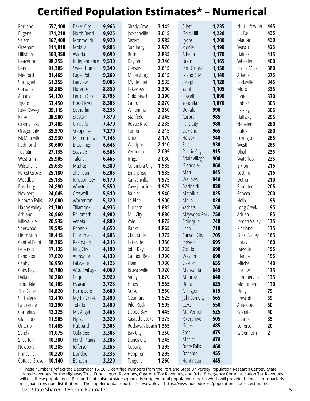## **Certified Population Estimates\* – Numerical**

| Portland                   | 657,100          | <b>Baker City</b>      | 9,965          | Shady Cove             | 3,145          | Siletz                | 1,235      | North Powder        | 445            |
|----------------------------|------------------|------------------------|----------------|------------------------|----------------|-----------------------|------------|---------------------|----------------|
| Eugene                     | 171,210          | North Bend             | 9,925          | Jacksonville           | 3,015          | Gold Hill             | 1,220      | St. Paul            | 435            |
| Salem                      | 167,400          | Monmouth               | 9,920          | <b>Sisters</b>         | 2,985          | Lyons                 | 1,200      | Maupin              | 430            |
| Gresham                    | 111,810          | Molalla                | 9,885          | Sublimity              | 2,970          | Riddle                | 1,190      | Wasco               | 425            |
| Hillsboro                  | 103,350          | Astoria                | 9,690          | <b>Burns</b>           | 2,835          | Athena                | 1,170      | Haines              | 415            |
| Beaverton                  | 98,255           | Independence           | 9,530          | Dayton                 | 2,740          | Drain                 | 1,165      | Wheeler             | 400            |
| Bend                       | 91,385           | Sweet Home             | 9,340          | Gervais                | 2,615          | Port Orford           | 1,150      | <b>Scotts Mills</b> | 380            |
| Medford                    | 81,465           | Eagle Point            | 9,260          | Millersburg            | 2,615          | <b>Island City</b>    | 1,140      | Adams               | 375            |
| Springfield                | 61,355           | Fairview               | 9,005          | Myrtle Point           | 2,535          | Joseph                | 1,120      | Sodaville           | 345            |
| Corvallis                  | 58,885           | Florence               | 8,850          | Lakeview               | 2,300          | Yamhill               | 1,105      | Moro                | 335            |
| Albany                     | 54,120           | Lincoln City           | 8,795          | Gold Beach             | 2,290          | Lowell                | 1,090      | lone                | 330            |
| Tigard                     | 53,450           | Hood River             | 8,305          | Carlton                | 2,270          | Yoncalla              | 1,070      | Imbler              | 305            |
| Lake Oswego                | 39,115           | Sutherlin              | 8,235          | Willamina              | 2,250          | Donald                | 990        | Paisley             | 305            |
| Keizer                     | 38,580           | Stayton                | 7,870          | Stanfield              | 2,245          | Aurora                | 985        | Halfway             | 295            |
| Grants Pass                | 37,485           | Umatilla               | 7,470          | Rogue River            | 2,235          | Falls City            | 980        | Nehalem             | 280            |
| Oregon City                | 35,570           | Scappoose              | 7,270          | Turner                 | 2,215          | Oakland               | 965        | Rufus               | 280            |
| McMinnville                | 33,930           | Milton-Freewater 7,145 |                | Union                  | 2,170          | Halsey                | 940        | Lexington           | 265            |
| Redmond                    | 30,600           | <b>Brookings</b>       | 6,645          | Waldport               | 2,110          | <b>Scio</b>           | 930        | Westfir             | 265            |
| Tualatin                   | 27,135           | Seaside                | 6,585          | Vernonia               | 2,095          | Prairie City          | 915        | Ukiah               | 235            |
| West Linn                  | 25,905           | Talent                 | 6,465          | Irrigon                | 2,030          | Adair Village         | 900        | Waterloo            | 235            |
| Wilsonville                | 25,635           | Madras                 | 6,380          | Columbia City          | 1,985          | Glendale              | 860        | Elkton              | 215            |
| Forest Grove               | 25,180           | Sheridan               | 6,205          | Enterprise             | 1,985          | Merrill               | 845        | Lostine             | 215            |
| Woodburn                   | 25,135           | Junction City          | 6,170          | Canyonville            | 1,975          | Wallowa               | 840        | Detroit             | 210            |
| Roseburg                   | 24,890           | Winston                | 5,550          | Cave Junction          | 1,975          | Garibaldi             | 830        | Sumpter             | 205            |
| Newberg                    | 24,045           | Creswell               | 5,510          | Rainier                | 1,940          | <b>Metolius</b>       | 825        | Seneca              | 200            |
| Klamath Falls              | 22,000           | Warrenton              | 5,320          | La Pine                | 1,900          | Malin                 | 820        | Helix               | 195            |
| Happy Valley               | 21,700           | Tillamook              | 4,935          | Durham                 | 1,885          | Yachats               | 760        | Long Creek          | 195            |
| Ashland                    | 20,960           | Philomath              | 4,900          | Mill City              | 1,880          | Maywood Park          | 750        | Adrian              | 185            |
| Milwaukie                  | 20,535           | Veneta<br>Phoenix      | 4,800          | Vale                   | 1,875          | Chiloquin             | 740        | Jordan Valley       | 175<br>175     |
| Sherwood                   | 19,595<br>18,415 | Boardman               | 4,650          | <b>Banks</b>           | 1,865          | Echo                  | 710<br>705 | Richland            | 165            |
| Hermiston<br>Central Point | 18,365           | Reedsport              | 4,505<br>4,215 | Clatskanie<br>Lakeside | 1,775<br>1,750 | Canyon City<br>Powers | 695        | Grass Valley        | 160            |
|                            | 17,135           |                        | 4,190          | John Day               | 1,735          | Condon                | 690        | Spray<br>Dayville   | 155            |
| Lebanon<br>Pendleton       | 17,020           | King City<br>Aumsville | 4,130          | Cannon Beach           | 1,730          | Weston                | 690        | Idanha              | 155            |
| Canby                      | 16,950           | Lafayette              | 4,125          | Elgin                  | 1,730          | Gaston                | 655        | Mitchell            | 140            |
| Coos Bay                   | 16,700           | Wood Village           | 4,060          | Brownsville            | 1,720          | Manzanita             | 645        | <b>Barlow</b>       | 135            |
| Dallas                     | 16,260           | Coquille               | 3,920          | Amity                  | 1,670          | Monroe                | 640        | Summerville         | 135            |
| Troutdale                  | 16,185           | Estacada               | 3,725          | Hines                  | 1,565          | Dufur                 | 625        | Monument            | 130            |
| The Dalles                 | 14,820           | Harrisburg             | 3,680          | Culver                 | 1,560          | Arlington             | 615        | Unity               | 75             |
| St. Helens                 | 13,410           | Myrtle Creek           | 3,490          | Gearhart               | 1,525          | Johnson City          | 565        | Prescott            | 55             |
| La Grande                  | 13,290           | Toledo                 | 3,490          | Pilot Rock             | 1,505          | Cove                  | 550        | Antelope            | 50             |
| Cornelius                  | 12,225           | Mt. Angel              | 3,465          | Depoe Bay              | 1,445          | Mt. Vernon            | 525        | Granite             | 40             |
| Gladstone                  | 11,905           | Nyssa                  | 3,320          | Cascade Locks          | 1,375          | Rivergrove            | 505        | Shaniko             | 35             |
| Ontario                    | 11,485           | Hubbard                | 3,305          | Rockaway Beach 1,365   |                | Gates                 | 485        | Lonerock            | 20             |
| Sandy                      | 11,075           | Oakridge               | 3,305          | Bay City               | 1,350          | Fossil                | 475        | Greenhorn           | $\overline{2}$ |
| Silverton                  | 10,380           | North Plains           | 3,285          | Dunes City             | 1,345          | Mosier                | 470        |                     |                |
| Newport                    | 10,285           | Jefferson              | 3,265          | Coburg                 | 1,295          | <b>Butte Falls</b>    | 460        |                     |                |
| Prineville                 | 10,220           | Dundee                 | 3,235          | Heppner                | 1,295          | Bonanza               | 455        |                     |                |
| Cottage Grove              | 10,140           | Bandon                 | 3,220          | Tangent                | 1,260          | Huntington            | 445        |                     |                |

2020 State Shared Revenue Estimates 15 \* These numbers reflect the December 15, 2019 certified numbers from the Portland State University Population Research Center. State shared revenues for the Highway Trust Fund, Liquor Revenues, Cigarette Tax Revenues, and 9-1-1 Emergency Communication Tax Revenues will use these populations. Portland State also provides quarterly supplemental population reports which will provide the basis for quarterly marijuana revenue distributions. The supplemental reports are available at https://www.pdx.edu/prc/population-reports-estimates.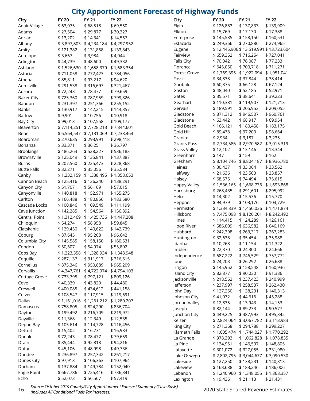### **City Apportionment Forecast of Highway Funds**

| City                 | <b>FY 20</b> | <b>FY 21</b>                        | <b>FY 22</b> | <b>City</b>         | <b>FY 20</b>            | <b>FY 21</b>                        | <b>FY 22</b>                           |
|----------------------|--------------|-------------------------------------|--------------|---------------------|-------------------------|-------------------------------------|----------------------------------------|
| Adair Village        | \$63,075     | \$68,518                            | \$69,550     | Elgin               | \$126,883               | \$137,833                           | \$139,909                              |
| Adams                | \$27,504     | \$29,877                            | \$30,327     | Elkton              | \$15,769                | \$17,130                            | \$17,388                               |
| Adrian               | \$13,202     | \$14,341                            | \$14,557     | Enterprise          | \$145,585               | \$158,150                           | \$160,531                              |
| Albany               |              | \$3,897,803 \$4,234,184 \$4,297,952 |              | Estacada            | \$249,366               | \$270,886                           | \$274,965                              |
| Amity                | \$121,382    | \$131,858                           | \$133,843    | Eugene              |                         |                                     | \$12,445,906 \$13,519,991 \$13,723,604 |
| Antelope             | \$3,667      | \$3,984                             | \$4,044      | Fairview            | \$659,352               | \$716,254                           | \$727,041                              |
| Arlington            | \$44,739     | \$48,600                            | \$49,332     | Falls City          | \$70,042                | \$76,087                            | \$77,233                               |
| Ashland              |              | \$1,526,630 \$1,658,379             | \$1,683,354  | Florence            | \$645,050               | \$700,718                           | \$711,271                              |
| Astoria              | \$711,058    | \$772,423                           | \$784,056    | Forest Grove        | \$1,769,395             | \$1,922,094                         | \$1,951,041                            |
| Athena               | \$85,811     | \$93,217                            | \$94,620     | Fossil              | \$34,838                | \$37,844                            | \$38,414                               |
| Aumsville            | \$291,538    | \$316,697                           | \$321,467    | Garibaldi           | \$60,875                | \$66,128                            | \$67,124                               |
| Aurora               | \$72,243     | \$78,477                            | \$79,659     | Gaston              | \$48,040                | \$52,185                            | \$52,971                               |
| <b>Baker City</b>    | \$725,360    | \$787,959                           | \$799,826    | Gates               | \$35,571                | \$38,641                            | \$39,223                               |
| Bandon               | \$231,397    | \$251,366                           | \$255,152    | Gearhart            | \$110,381               | \$119,907                           | \$121,713                              |
| <b>Banks</b>         | \$130,917    | \$142,215                           | \$144,357    | Gervais             | \$189,591               | \$205,953                           | \$209,055                              |
| Barlow               | \$9,901      | \$10,756                            | \$10,918     | Gladstone           | \$871,312               | \$946,507                           | \$960,761                              |
| <b>Bay City</b>      | \$99,013     | \$107,558                           | \$109,177    | Gladstone           | \$63,442                | \$68,917                            | \$69,954                               |
| Beaverton            |              | \$7,114,251 \$7,728,213             | \$7,844,601  | Gold Beach          | \$166,121               | \$180,458                           | \$183,175                              |
| Bend                 |              | \$6,564,547 \$7,131,069             | \$7,238,464  | Gold Hill           | \$89,478                | \$97,200                            | \$98,664                               |
| Boardman             | \$270,635    | \$293,991                           | \$298,418    | Granite             | \$2,934                 | \$3,187                             | \$3,235                                |
|                      | \$33,371     | \$36,251                            |              | <b>Grants Pass</b>  |                         | \$2,734,586 \$2,970,582 \$3,015,319 |                                        |
| Bonanza              |              |                                     | \$36,797     | <b>Grass Valley</b> | \$12,102                | \$13,146                            | \$13,344                               |
| <b>Brookings</b>     | \$486,263    | \$528,227                           | \$536,183    | Greenhorn           | \$147                   | \$159                               | \$162                                  |
| Brownsville          | \$125,049    | \$135,841                           | \$137,887    | Gresham             |                         | \$8,104,746 \$8,804,187             | \$8,936,780                            |
| <b>Burns</b>         | \$207,560    | \$225,473                           | \$228,868    | Haines              | \$30,437                | \$33,064                            | \$33,562                               |
| <b>Butte Falls</b>   | \$32,271     | \$35,056                            | \$35,584     | Halfway             | \$21,636                | \$23,503                            | \$23,857                               |
| Canby                |              | \$1,232,159 \$1,338,495             | \$1,358,653  | Halsey              | \$68,576                | \$74,494                            | \$75,615                               |
| Cannon Beach         | \$125,416    | \$136,240                           | \$138,291    | Happy Valley        | \$1,536,165 \$1,668,736 |                                     | \$1,693,868                            |
| Canyon City          | \$51,707     | \$56,169                            | \$57,015     | Harrisburg          | \$268,435               | \$291,601                           | \$295,992                              |
| Canyonville          | \$140,818    | \$152,971                           | \$155,275    | Helix               | \$14,302                | \$15,536                            | \$15,770                               |
| Carlton              | \$166,488    | \$180,856                           | \$183,580    | Heppner             | \$94,979                | \$103,176                           | \$104,729                              |
| Cascade Locks        | \$100,846    | \$109,549                           | \$111,199    | Hermiston           | \$1,334,839             | \$1,450,036                         | \$1,471,874                            |
| Cave Junction        | \$142,285    | \$154,564                           | \$156,892    | Hillsboro           |                         | \$7,475,098 \$8,120,201 \$8,242,492 |                                        |
| <b>Central Point</b> |              | \$1,312,469 \$1,425,736 \$1,447,208 |              | Hines               | \$114,415               | \$124,289                           | \$126,161                              |
| Chiloquin            | \$54,274     | \$58,958                            | \$59,845     | Hood River          | \$586,009               | \$636,582                           | \$646,169                              |
| Clatskanie           | \$129,450    | \$140,622                           | \$142,739    | Hubbard             | \$242,398               | \$263,317                           | \$267,283                              |
| Coburg               | \$87,645     | \$95,208                            | \$96,642     | Huntington          | \$32,638                | \$35,454                            | \$35,988                               |
| Columbia City        | \$145,585    | \$158,150                           | \$160,531    | Idanha              | \$10,268                | \$11,154                            | \$11,322                               |
| Condon               | \$50,607     | \$54,974                            | \$55,802     | Imbler              | \$22,370                | \$24,300                            | \$24,666                               |
| Coos Bay             |              | \$1,223,358 \$1,328,934 \$1,348,948 |              | Independence        | \$687,222               | \$746,529                           | \$757,772                              |
| Coquille             | \$287,137    | \$311,917                           | \$316,615    |                     | \$24,203                |                                     |                                        |
| Cornelius            | \$875,346    | \$950,889                           | \$965,209    | lone                |                         | \$26,292                            | \$26,688                               |
| Corvallis            |              | \$4,347,761 \$4,722,974             | \$4,794,103  | Irrigon             | \$145,952<br>\$82,877   | \$158,548<br>\$90,030               | \$160,936<br>\$91,386                  |
| Cottage Grove        | \$733,795    | \$797,121                           | \$809,126    | <b>Island City</b>  | \$218,562               |                                     |                                        |
| Cove                 | \$40,339     | \$43,820                            | \$44,480     | Jacksonville        |                         | \$237,423                           | \$240,999                              |
| Creswell             | \$400,085    | \$434,612                           | \$441,158    | Jefferson           | \$237,997               | \$258,537                           | \$262,430                              |
| Culver               | \$108,547    | \$117,915                           | \$119,691    | John Day            | \$127,250               | \$138,231                           | \$140,313                              |
| Dallas               |              | \$1,161,016 \$1,261,212 \$1,280,207 |              | Johnson City        | \$41,072                | \$44,616                            | \$45,288                               |
| Damascus             | \$758,805    | \$824,290                           | \$836,704    | Jordan Valley       | \$12,835                | \$13,943                            | \$14,153                               |
| Dayton               | \$199,492    | \$216,709                           | \$219,972    | Joseph              | \$82,144                | \$89,233                            | \$90,577                               |
| Dayville             | \$11,368     | \$12,349                            | \$12,535     | Junction City       | \$449,225               | \$487,993                           | \$495,342                              |
| Depoe Bay            | \$105,614    | \$114,728                           | \$116,456    | Keizer              |                         | \$2,824,064 \$3,067,782 \$3,113,983 |                                        |
| Detroit              | \$15,402     | \$16,731                            | \$16,983     | King City           | \$271,368               | \$294,788                           | \$299,227                              |
| Donald               | \$72,243     | \$78,477                            | \$79,659     | Klamath Falls       |                         | \$1,605,474 \$1,744,027 \$1,770,292 |                                        |
| Drain                | \$85,444     | \$92,818                            | \$94,216     | La Grande           | \$978,393               | \$1,062,828                         | \$1,078,835                            |
|                      |              |                                     |              | La Pine             | \$134,951               | \$146,597                           | \$148,805                              |
| Dufur                | \$45,106     | \$48,998                            | \$49,736     | Lafayette           | \$301,072               | \$327,055                           | \$331,980                              |
| Dundee               | \$236,897    | \$257,342                           | \$261,217    | Lake Oswego         |                         | \$2,802,795 \$3,044,677             | \$3,090,530                            |
| Dunes City           | \$97,913     | \$106,363                           | \$107,964    | Lakeside            | \$127,250               | \$138,231                           | \$140,313                              |
| Durham               | \$137,884    | \$149,784                           | \$152,040    | Lakeview            | \$168,688               | \$183,246                           | \$186,006                              |
| Eagle Point          | \$667,786    | \$725,416                           | \$736,341    | Lebanon             |                         | \$1,240,960 \$1,348,055             | \$1,368,357                            |
| Echo                 | \$52,073     | \$56,567                            | \$57,419     | Lexington           | \$19,436                | \$21,113                            | \$21,431                               |

<sup>16</sup> 2020 State Shared Revenue Estimates *Source: October 2019 County/City Apportionment Forecast Summary (Cash Basis) (Includes All Conditional Fuels Tax Increases)*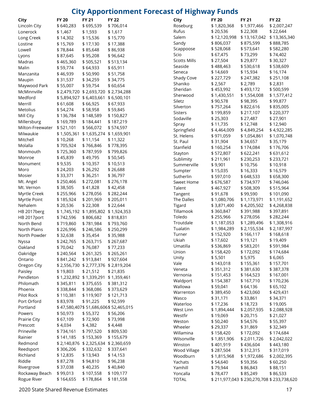#### **City Apportionment Forecast of Highway Funds**

| City             | <b>FY 20</b> | <b>FY 21</b>                        | <b>FY 22</b>                         | <b>City</b>         | <b>FY 20</b>                      | <b>FY 21</b> | <b>FY 22</b> |
|------------------|--------------|-------------------------------------|--------------------------------------|---------------------|-----------------------------------|--------------|--------------|
| Lincoln City     | \$640,283    | \$695,539                           | \$706,014                            | Roseburg            | \$1,820,368                       | \$1,977,466  | \$2,00       |
| Lonerock         | \$1,467      | \$1,593                             | \$1,617                              | Rufus               | \$20,536                          | \$22,308     | \$22,6       |
| Long Creek       | \$14,302     | \$15,536                            | \$15,770                             | Salem               | \$12,120,998                      | \$13,167,042 | \$13,3       |
| Lostine          | \$15,769     | \$17,130                            | \$17,388                             | Sandy               | \$806,037                         | \$875,599    | \$888        |
| Lowell           | \$78,844     | \$85,648                            | \$86,938                             | Scappoose           | \$528,068                         | \$573,641    | \$582        |
| Lyons            | \$87,645     | \$95,208                            | \$96,642                             | Scio                | \$67,475                          | \$73,299     | \$74,4       |
| Madras           | \$465,360    | \$505,521                           | \$513,134                            | <b>Scotts Mills</b> | \$27,504                          | \$29,877     | \$30,3       |
| Malin            | \$59,774     | \$64,933                            | \$65,911                             | Seaside             | \$488,463                         | \$530,618    | \$538        |
| Manzanita        | \$46,939     | \$50,990                            | \$51,758                             | Seneca              | \$14,669                          | \$15,934     | \$16,1       |
| Maupin           | \$31,537     | \$34,259                            | \$34,775                             | Shady Cove          | \$227,729                         | \$247,382    | \$251        |
| Maywood Park     | \$55,007     | \$59,754                            | \$60,654                             | Shaniko             | \$2,567                           | \$2,789      | \$2,83       |
| McMinnville      |              | \$2,479,720 \$2,693,720 \$2,734,288 |                                      | Sheridan            | \$453,992                         | \$493,172    | \$500        |
| Medford          |              | \$5,894,927 \$6,403,661             | \$6,500,101                          | Sherwood            | \$1,430,551                       | \$1,554,008  | \$1,57       |
| Merrill          | \$61,608     | \$66,925                            | \$67,933                             | Siletz              | \$90,578                          | \$98,395     | \$99,8       |
| Metolius         | \$54,274     | \$58,958                            | \$59,845                             | Silverton           | \$757,264                         | \$822,616    | \$835        |
| Mill City        | \$136,784    | \$148,589                           | \$150,827                            | <b>Sisters</b>      | \$199,859                         | \$217,107    | \$220        |
| Millersburg      | \$169,789    | \$184,441                           | \$187,219                            | Sodaville           | \$25,303                          | \$27,487     | \$27,9       |
| Milton-Freewater | \$521,101    | \$566,072                           | \$574,597                            | Spray               | \$11,735                          | \$12,748     | \$12,9       |
|                  |              |                                     |                                      | Springfield         | \$4,464,009                       | \$4,849,254  | \$4,92       |
| Milwaukie        |              | \$1,505,361 \$1,635,274 \$1,659,901 |                                      | St. Helens          | \$971,059                         | \$1,054,861  | \$1,07       |
| Mitchell         | \$10,268     | \$11,154                            | \$11,322                             | St. Paul            | \$31,904                          | \$34,657     | \$35,1       |
| Molalla          | \$705,924    | \$766,846                           | \$778,395                            | Stanfield           | \$160,254                         | \$174,084    | \$176        |
| Monmouth         | \$725,360    | \$787,959                           | \$799,826                            | Stayton             | \$572,807                         | \$622,241    | \$631        |
| Monroe           | \$45,839     | \$49,795                            | \$50,545                             | Sublimity           | \$211,961                         | \$230,253    | \$233        |
| Monument         | \$9,535      | \$10,357                            | \$10,513                             | Summerville         | \$9,901                           | \$10,756     | \$10,9       |
| Moro             | \$24,203     | \$26,292                            | \$26,688                             | Sumpter             | \$15,035                          | \$16,333     | \$16,5       |
| Mosier           | \$33,371     | \$36,251                            | \$36,797                             | Sutherlin           | \$597,010                         | \$648,533    | \$658        |
| Mt. Angel        | \$250,466    | \$272,081                           | \$276,178                            | Sweet Home          | \$676,587                         | \$734,977    | \$746        |
| Mt. Vernon       | \$38,505     | \$41,828                            | \$42,458                             | Talent              | \$467,927                         | \$508,309    | \$515        |
| Myrtle Creek     | \$255,966    | \$278,056                           | \$282,244                            | Tangent             | \$91,678                          | \$99,590     | \$101        |
| Myrtle Point     | \$185,924    | \$201,969                           | \$205,011                            | The Dalles          | \$1,080,706                       | \$1,173,971  | \$1,19       |
| Nehalem          | \$20,536     | \$22,308                            | \$22,644                             | Tigard              | \$3,871,400                       | \$4,205,502  | \$4,26       |
| HB 2017berg      |              | \$1,745,192 \$1,895,802 \$1,924,353 |                                      | Tillamook           | \$360,847                         | \$391,988    | \$397        |
| HB 2017port      | \$742,596    | \$806,682                           | \$818,831                            | Toledo              | \$255,966                         | \$278,056    | \$282        |
| North Bend       | \$719,860    | \$781,984                           | \$793,760                            | Troutdale           | \$1,187,053                       | \$1,289,496  | \$1,30       |
| North Plains     | \$226,996    | \$246,586                           | \$250,299                            | Tualatin            | \$1,984,289                       | \$2,155,534  | \$2,18       |
| North Powder     | \$32,638     | \$35,454                            | \$35,988                             | Turner              | \$152,920                         | \$166,117    | \$168        |
| Nyssa            | \$242,765    | \$263,715                           | \$267,687                            | Ukiah               | \$17,602                          | \$19,121     | \$19,4       |
| Oakland          | \$70,042     | \$76,087                            | \$77,233                             | Umatilla            | \$536,869                         | \$583,201    | \$ 591       |
| Oakridge         | \$240,564    | \$261,325                           | \$265,261                            | Union               | \$158,420                         | \$172,092    | \$174        |
| Ontario          | \$841,242    | \$913,841                           | \$927,604                            | Unity               | \$5,501                           | \$5,975      | \$6,06       |
| Oregon City      |              | \$2,556,730 \$2,777,376 \$2,819,204 |                                      | Vale                | \$143,018                         | \$155,361    | \$157        |
| Paisley          | \$19,803     | \$21,512                            | \$21,835                             | Veneta              | \$351,312                         | \$381,630    | \$387        |
| Pendleton        |              | \$1,232,892 \$1,339,291 \$1,359,461 |                                      | Vernonia            | \$151,453                         | \$164,523    | \$167        |
| Philomath        | \$345,811    | \$375,655                           | \$381,312                            | Waldport            | \$154,387                         | \$167,710    | \$170        |
| Phoenix          | \$338,844    | \$368,086                           | \$373,629                            | Wallowa             | \$59,041                          | \$64,136     | \$65,1       |
| Pilot Rock       | \$110,381    | \$119,907                           | \$121,713                            | Warrenton           | \$389,450                         | \$423,060    | \$429        |
| Port Orford      | \$83,978     | \$91,225                            | \$92,599                             | Wasco               | \$31,171                          | \$33,861     | \$34,3       |
| Portland         |              |                                     | \$47,580,407\$51,686,606\$52,465,015 | Waterloo            | \$17,236                          | \$18,723     | \$19,0       |
| Powers           | \$50,973     | \$55,372                            | \$56,206                             | West Linn           | \$1,894,444                       | \$2,057,935  | \$2,08       |
| Prairie City     | \$67,109     | \$72,900                            | \$73,998                             | Westfir             | \$19,069                          | \$20,715     | \$21,0       |
| Prescott         | \$4,034      | \$4,382                             | \$4,448                              | Weston              | \$50,240                          | \$54,576     | \$55,3       |
|                  |              |                                     |                                      | Wheeler             | \$29,337                          | \$31,869     | \$32,3       |
| Prineville       | \$734,161    | \$797,520                           | \$809,530                            | Willamina           | \$158,420                         | \$172,092    | \$174        |
| Rainier          | \$141,185    | \$153,369                           | \$155,679                            | Wilsonville         | \$1,851,906                       | \$2,011,726  | \$2,04       |
| Redmond          |              | \$2,140,876 \$2,325,634 \$2,360,659 |                                      | Winston             | \$401,919                         | \$436,604    | \$443        |
| Reedsport        | \$306,206    | \$332,632                           | \$337,641                            | Wood Village        | \$287,504                         | \$312,315    | \$317        |
| Richland         | \$12,835     | \$13,943                            | \$14,153                             | Woodburn            | \$1,815,968                       | \$1,972,686  | \$2,00       |
| Riddle           | \$87,278     | \$94,810                            | \$96,238                             | Yachats             | \$54,640                          | \$59,356     | \$60,2       |
| Rivergrove       | \$37,038     | \$40,235                            | \$40,840                             | Yamhill             | \$79,944                          | \$86,843     | \$88,1       |
| Rockaway Beach   | \$99,013     | \$107,558                           | \$109,177                            | Yoncalla            | \$78,477                          | \$85,249     | \$86,5       |
| Rogue River      | \$164,655    | \$178,864                           | \$181,558                            | <b>TOTAL</b>        | \$211,977,043 \$230,270,708 \$233 |              |              |

| ury                 | FI ZU        | FT ZI                                     | FI 22        |
|---------------------|--------------|-------------------------------------------|--------------|
| Roseburg            | \$1,820,368  | \$ 1,977,466                              | \$2,007,247  |
| Rufus               | \$20,536     | \$22,308                                  | \$22,644     |
| Salem               | \$12,120,998 | \$13,167,042                              | \$13,365,340 |
| Sandy               | \$806,037    | \$875,599                                 | \$888,785    |
| Scappoose           | \$528,068    | \$573,641                                 | \$582,280    |
| Scio                | \$67,475     | \$73,299                                  | \$74,402     |
| <b>Scotts Mills</b> | \$27,504     | \$29,877                                  | \$30,327     |
| Seaside             | \$488,463    | \$530,618                                 | \$538,609    |
| Seneca              | \$14,669     | \$15,934                                  | \$16,174     |
| Shady Cove          | \$227,729    | \$247,382                                 | \$251,108    |
| Shaniko             | \$2,567      | \$2,789                                   | \$2,831      |
|                     |              |                                           |              |
| Sheridan            | \$453,992    | \$493,172                                 | \$500,599    |
| Sherwood            | \$1,430,551  | \$1,554,008                               | \$1,577,412  |
| Siletz              | \$90,578     | \$98,395                                  | \$99,877     |
| Silverton           | \$757,264    | \$822,616                                 | \$835,005    |
| <b>Sisters</b>      | \$199,859    | \$217,107                                 | \$220,377    |
| Sodaville           | \$25,303     | \$27,487                                  | \$27,901     |
| Spray               | \$11,735     | \$12,748                                  | \$12,940     |
| Springfield         | \$4,464,009  | \$4,849,254                               | \$4,922,285  |
| St. Helens          | \$971,059    | \$1,054,861                               | \$1,070,748  |
| St. Paul            | \$31,904     | \$34,657                                  | \$35,179     |
| Stanfield           | \$160,254    | \$174,084                                 | \$176,706    |
| Stayton             | \$572,807    | \$622,241                                 | \$631,612    |
| Sublimity           | \$211,961    | \$230,253                                 | \$233,721    |
| Summerville         | \$9,901      | \$10,756                                  | \$10,918     |
| Sumpter             | \$15,035     | \$16,333                                  | \$16,579     |
| Sutherlin           | \$597,010    | \$648,533                                 | \$658,300    |
|                     |              |                                           |              |
| <b>Sweet Home</b>   | \$676,587    | \$ 734,977                                | \$746,046    |
| Talent              | \$467,927    | \$508,309                                 | \$515,964    |
| Tangent             | \$91,678     | \$99,590                                  | \$101,090    |
| The Dalles          | \$1,080,706  | \$1,173,971                               | \$1,191,652  |
| Tigard              | \$3,871,400  | \$4,205,502                               | \$4,268,838  |
| Tillamook           | \$360,847    | \$391,988                                 | \$397,891    |
| Toledo              | \$255,966    | \$278,056                                 | \$282,244    |
| Troutdale           | \$1,187,053  | \$1,289,496                               | \$1,308,916  |
| Tualatin            | \$1,984,289  | \$2,155,534                               | \$2,187,997  |
| Turner              | \$152,920    | \$166,117                                 | \$168,618    |
| Ukiah               | \$17,602     | \$19,121                                  | \$19,409     |
| Umatilla            | \$536,869    | \$583,201                                 | \$591,984    |
| Union               | \$158,420    | \$172,092                                 | \$174,684    |
| Unity               | \$5,501      | \$5,975                                   | \$6,065      |
| Vale                | \$143,018    | \$155,361                                 | \$157,701    |
| Veneta              | \$351,312    | \$381,630                                 | \$387,378    |
| Vernonia            | \$151,453    | \$164,523                                 | \$167,001    |
| Waldport            | \$154,387    | \$167,710                                 | \$170,236    |
| Wallowa             | \$59,041     | \$64,136                                  |              |
|                     |              |                                           | \$ 65,102    |
| Warrenton           | \$389,450    | \$423,060                                 | \$429,431    |
| Wasco               | \$31,171     | \$33,861                                  | \$34,371     |
| Waterloo            | \$17,236     | \$18,723                                  | \$19,005     |
| West Linn           | \$1,894,444  | \$2,057,935                               | \$ 2,088,928 |
| Westfir             | \$19,069     | \$20,715                                  | \$21,027     |
| Weston              | \$50,240     | \$54,576                                  | \$ 55,397    |
| Wheeler             | \$29,337     | \$31,869                                  | \$32,349     |
| Willamina           | \$158,420    | \$172,092                                 | \$174,684    |
| Wilsonville         | \$1,851,906  | \$2,011,726                               | \$2,042,022  |
| Winston             | \$401,919    | \$436,604                                 | \$443,180    |
| Wood Village        | \$287,504    | \$312,315                                 | \$317,019    |
| Woodburn            | \$1,815,968  | \$ 1,972,686                              | \$2,002,395  |
| Yachats             | \$54,640     | \$59,356                                  | \$60,250     |
| Yamhill             | \$79,944     | \$86,843                                  | \$88,151     |
| Yoncalla            | \$78,477     | \$85,249                                  | \$ 86,533    |
| <b>TOTAL</b>        |              | \$211,977,043 \$230,270,708 \$233,738,620 |              |
|                     |              |                                           |              |

2020 State Shared Revenue Estimates 17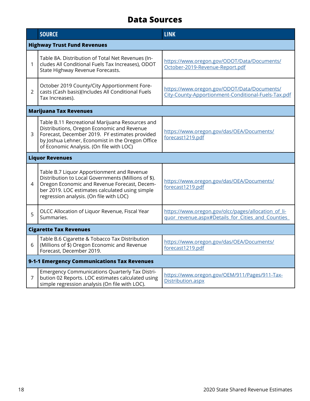### **Data Sources**

|                | <b>SOURCE</b>                                                                                                                                                                                                                                   | <b>LINK</b>                                                                                               |  |  |  |  |  |
|----------------|-------------------------------------------------------------------------------------------------------------------------------------------------------------------------------------------------------------------------------------------------|-----------------------------------------------------------------------------------------------------------|--|--|--|--|--|
|                | <b>Highway Trust Fund Revenues</b>                                                                                                                                                                                                              |                                                                                                           |  |  |  |  |  |
| 1              | Table 8A. Distribution of Total Net Revenues (In-<br>cludes All Conditional Fuels Tax Increases), ODOT<br>State Highway Revenue Forecasts.                                                                                                      | https://www.oregon.gov/ODOT/Data/Documents/<br>October-2019-Revenue-Report.pdf                            |  |  |  |  |  |
| $\overline{2}$ | October 2019 County/City Apportionment Fore-<br>casts (Cash basis)(Includes All Conditional Fuels<br>Tax Increases).                                                                                                                            | https://www.oregon.gov/ODOT/Data/Documents/<br>City-County-Apportionment-Conditional-Fuels-Tax.pdf        |  |  |  |  |  |
|                | <b>Marijuana Tax Revenues</b>                                                                                                                                                                                                                   |                                                                                                           |  |  |  |  |  |
| 3              | Table B.11 Recreational Marijuana Resources and<br>Distributions, Oregon Economic and Revenue<br>Forecast, December 2019. FY estimates provided<br>by Joshua Lehner, Economist in the Oregon Office<br>of Economic Analysis. (On file with LOC) | https://www.oregon.gov/das/OEA/Documents/<br>forecast1219.pdf                                             |  |  |  |  |  |
|                | <b>Liquor Revenues</b>                                                                                                                                                                                                                          |                                                                                                           |  |  |  |  |  |
| 4              | Table B.7 Liquor Apportionment and Revenue<br>Distribution to Local Governments (Millions of \$).<br>Oregon Economic and Revenue Forecast, Decem-<br>ber 2019. LOC estimates calculated using simple<br>regression analysis. (On file with LOC) | https://www.oregon.gov/das/OEA/Documents/<br>forecast1219.pdf                                             |  |  |  |  |  |
| 5              | OLCC Allocation of Liquor Revenue, Fiscal Year<br>Summaries.                                                                                                                                                                                    | https://www.oregon.gov/olcc/pages/allocation_of_li-<br>quor_revenue.aspx#Details_for_Cities_and_Counties_ |  |  |  |  |  |
|                | <b>Cigarette Tax Revenues</b>                                                                                                                                                                                                                   |                                                                                                           |  |  |  |  |  |
| 6              | Table B.6 Cigarette & Tobacco Tax Distribution<br>(Millions of \$) Oregon Economic and Revenue<br>Forecast, December 2019.                                                                                                                      | https://www.oregon.gov/das/OEA/Documents/<br>forecast1219.pdf                                             |  |  |  |  |  |
|                | 9-1-1 Emergency Communications Tax Revenues                                                                                                                                                                                                     |                                                                                                           |  |  |  |  |  |
| $\overline{7}$ | <b>Emergency Communications Quarterly Tax Distri-</b><br>bution 02 Reports. LOC estimates calculated using<br>simple regression analysis (On file with LOC).                                                                                    | https://www.oregon.gov/OEM/911/Pages/911-Tax-<br>Distribution.aspx                                        |  |  |  |  |  |